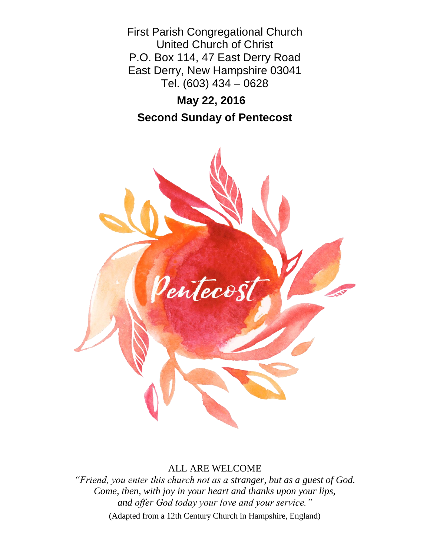First Parish Congregational Church United Church of Christ P.O. Box 114, 47 East Derry Road East Derry, New Hampshire 03041 Tel. (603) 434 – 0628

# **May 22, 2016 Second Sunday of Pentecost**



## ALL ARE WELCOME

*"Friend, you enter this church not as a stranger, but as a guest of God. Come, then, with joy in your heart and thanks upon your lips, and offer God today your love and your service."*

(Adapted from a 12th Century Church in Hampshire, England)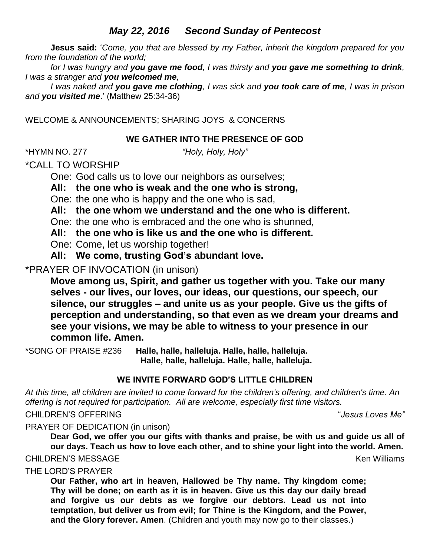## *May 22, 2016 Second Sunday of Pentecost*

**Jesus said:** '*Come, you that are blessed by my Father, inherit the kingdom prepared for you from the foundation of the world;* 

*for I was hungry and you gave me food, I was thirsty and you gave me something to drink, I was a stranger and you welcomed me,* 

*I was naked and you gave me clothing, I was sick and you took care of me, I was in prison and you visited me*.' (Matthew 25:34-36)

WELCOME & ANNOUNCEMENTS; SHARING JOYS & CONCERNS

## **WE GATHER INTO THE PRESENCE OF GOD**

\*HYMN NO. 277 *"Holy, Holy, Holy"*

\*CALL TO WORSHIP

One: God calls us to love our neighbors as ourselves;

**All: the one who is weak and the one who is strong,**

One: the one who is happy and the one who is sad,

**All: the one whom we understand and the one who is different.**

One: the one who is embraced and the one who is shunned,

**All: the one who is like us and the one who is different.** 

One: Come, let us worship together!

**All: We come, trusting God's abundant love.**

\*PRAYER OF INVOCATION (in unison)

**Move among us, Spirit, and gather us together with you. Take our many selves - our lives, our loves, our ideas, our questions, our speech, our silence, our struggles – and unite us as your people. Give us the gifts of perception and understanding, so that even as we dream your dreams and see your visions, we may be able to witness to your presence in our common life. Amen.**

\*SONG OF PRAISE #236 **Halle, halle, halleluja. Halle, halle, halleluja. Halle, halle, halleluja. Halle, halle, halleluja.**

## **WE INVITE FORWARD GOD'S LITTLE CHILDREN**

*At this time, all children are invited to come forward for the children's offering, and children's time. An offering is not required for participation. All are welcome, especially first time visitors.*

## CHILDREN'S OFFERING "*Jesus Loves Me"*

PRAYER OF DEDICATION (in unison)

**Dear God, we offer you our gifts with thanks and praise, be with us and guide us all of our days. Teach us how to love each other, and to shine your light into the world. Amen.**

## CHILDREN'S MESSAGE Ken Williams

THE LORD'S PRAYER

**Our Father, who art in heaven, Hallowed be Thy name. Thy kingdom come; Thy will be done; on earth as it is in heaven. Give us this day our daily bread and forgive us our debts as we forgive our debtors. Lead us not into temptation, but deliver us from evil; for Thine is the Kingdom, and the Power, and the Glory forever. Amen**. (Children and youth may now go to their classes.)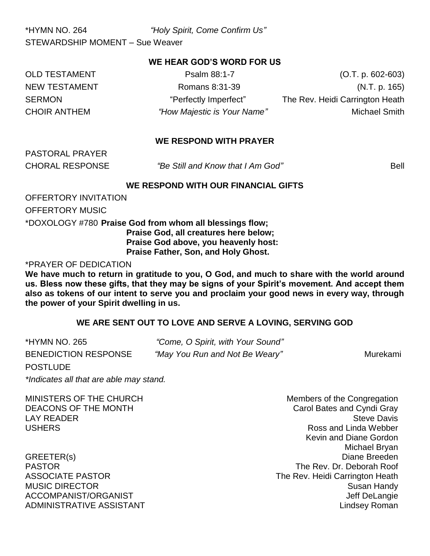\*HYMN NO. 264 *"Holy Spirit, Come Confirm Us"* STEWARDSHIP MOMENT – Sue Weaver

#### **WE HEAR GOD'S WORD FOR US**

OLD TESTAMENT Psalm 88:1-7 (O.T. p. 602-603) NEW TESTAMENT Romans 8:31-39 (N.T. p. 165) SERMON **EXAMPLE 19 THE SERMON** "Perfectly Imperfect" The Rev. Heidi Carrington Heath CHOIR ANTHEM *"How Majestic is Your Name"* Michael Smith

#### **WE RESPOND WITH PRAYER**

PASTORAL PRAYER

CHORAL RESPONSE *"Be Still and Know that I Am God"* Bell

#### **WE RESPOND WITH OUR FINANCIAL GIFTS**

OFFERTORY INVITATION

OFFERTORY MUSIC

\*DOXOLOGY #780 **Praise God from whom all blessings flow; Praise God, all creatures here below; Praise God above, you heavenly host:**

**Praise Father, Son, and Holy Ghost.**

\*PRAYER OF DEDICATION

**We have much to return in gratitude to you, O God, and much to share with the world around us. Bless now these gifts, that they may be signs of your Spirit's movement. And accept them also as tokens of our intent to serve you and proclaim your good news in every way, through the power of your Spirit dwelling in us.** 

#### **WE ARE SENT OUT TO LOVE AND SERVE A LOVING, SERVING GOD**

| *HYMN NO. 265               | "Come, O Spirit, with Your Sound" |          |
|-----------------------------|-----------------------------------|----------|
| <b>BENEDICTION RESPONSE</b> | "May You Run and Not Be Weary"    | Murekami |
| <b>POSTLUDE</b>             |                                   |          |

*\*Indicates all that are able may stand.*

MINISTERS OF THE CHURCH MINISTERS OF THE CHURCH

DEACONS OF THE MONTH CAROLIC BATES AND CAROLE BATES AND CAROLE OF THE MONTH **LAY READER** Steve Davis USHERS Ross and Linda Webber Kevin and Diane Gordon Michael Bryan GREETER(s) Diane Breeden PASTOR The Rev. Dr. Deborah Roof ASSOCIATE PASTOR **The Rev. Heidi Carrington Heath** MUSIC DIRECTOR Susan Handy ACCOMPANIST/ORGANIST ACCOMPANIST ACCOMPANIST ACCOMPANIST ASSESSMENT ASSESSMENT ASSESSMENT ASSESSMENT AND THE U ADMINISTRATIVE ASSISTANT Lindsey Roman ADMINISTRATIVE ASSISTANT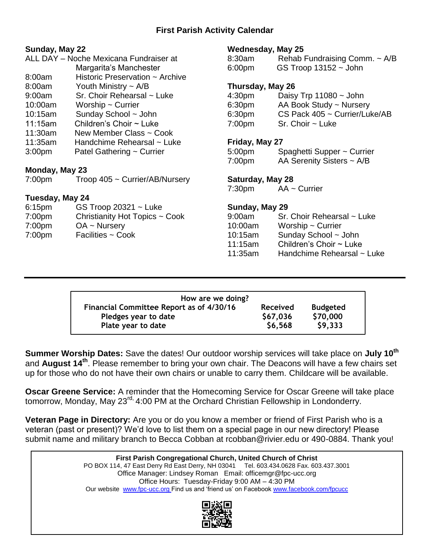## **First Parish Activity Calendar**

| Sunday, May 22     |                                        | <b>Wednesday, May 25</b> |                                    |  |
|--------------------|----------------------------------------|--------------------------|------------------------------------|--|
|                    | ALL DAY - Noche Mexicana Fundraiser at | 8:30am                   | Rehab Fundraising Comm. $\sim$ A/B |  |
|                    | Margarita's Manchester                 | 6:00 <sub>pm</sub>       | $GS$ Troop 13152 $\sim$ John       |  |
| 8:00am             | Historic Preservation ~ Archive        |                          |                                    |  |
| 8:00am             | Youth Ministry $\sim$ A/B              | Thursday, May 26         |                                    |  |
| 9:00am             | Sr. Choir Rehearsal ~ Luke             | 4:30 <sub>pm</sub>       | Daisy Trp $11080 \sim$ John        |  |
| 10:00am            | Worship $\sim$ Currier                 | 6:30pm                   | AA Book Study ~ Nursery            |  |
| 10:15am            | Sunday School ~ John                   | 6:30 <sub>pm</sub>       | CS Pack 405 ~ Currier/Luke/AB      |  |
| 11:15am            | Children's Choir $\sim$ Luke           | 7:00pm                   | $Sr.$ Choir $\sim$ Luke            |  |
| 11:30am            | New Member Class ~ Cook                |                          |                                    |  |
| 11:35am            | Handchime Rehearsal ~ Luke             | Friday, May 27           |                                    |  |
| 3:00 <sub>pm</sub> | Patel Gathering ~ Currier              | 5:00pm                   | Spaghetti Supper ~ Currier         |  |
|                    |                                        | 7:00pm                   | AA Serenity Sisters $\sim$ A/B     |  |
| Monday, May 23     |                                        |                          |                                    |  |
| 7:00 <sub>pm</sub> | Troop $405 \sim$ Currier/AB/Nursery    | <b>Saturday, May 28</b>  |                                    |  |
|                    |                                        | 7:30 <sub>pm</sub>       | $AA \sim$ Currier                  |  |
| Tuesday, May 24    |                                        |                          |                                    |  |
| 6:15 <sub>pm</sub> | GS Troop 20321 $\sim$ Luke             | Sunday, May 29           |                                    |  |
| 7:00 <sub>pm</sub> | Christianity Hot Topics ~ Cook         | $9:00$ am                | Sr. Choir Rehearsal ~ Luke         |  |
| 7:00 <sub>pm</sub> | $OA ~\sim$ Nursery                     | 10:00am                  | Worship $\sim$ Currier             |  |
| 7:00pm             | Facilities ~ Cook                      | 10:15am                  | Sunday School ~ John               |  |
|                    |                                        | 11:15am                  | Children's Choir $\sim$ Luke       |  |
|                    |                                        | 11:35am                  | Handchime Rehearsal ~ Luke         |  |
|                    |                                        |                          |                                    |  |
|                    |                                        |                          |                                    |  |

| How are we doing?                        |                 |                 |
|------------------------------------------|-----------------|-----------------|
| Financial Committee Report as of 4/30/16 | <b>Received</b> | <b>Budgeted</b> |
| Pledges year to date                     | \$67,036        | \$70,000        |
| Plate year to date                       | \$6,568         | \$9,333         |

**Summer Worship Dates:** Save the dates! Our outdoor worship services will take place on **July 10th** and **August 14th** . Please remember to bring your own chair. The Deacons will have a few chairs set up for those who do not have their own chairs or unable to carry them. Childcare will be available.

**Oscar Greene Service:** A reminder that the Homecoming Service for Oscar Greene will take place tomorrow, Monday, May 23<sup>rd,</sup> 4:00 PM at the Orchard Christian Fellowship in Londonderry.

**Veteran Page in Directory:** Are you or do you know a member or friend of First Parish who is a veteran (past or present)? We'd love to list them on a special page in our new directory! Please submit name and military branch to Becca Cobban at rcobban@rivier.edu or 490-0884. Thank you!